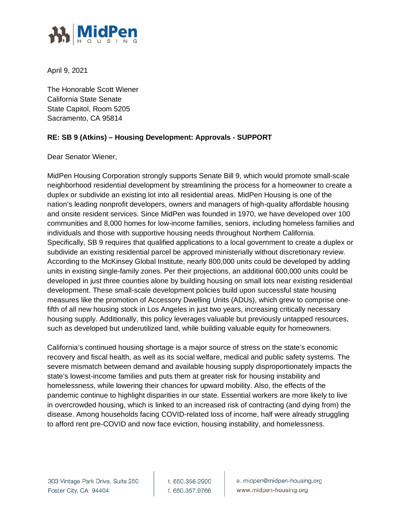

April 9, 2021

The Honorable Scott Wiener California State Senate State Capitol, Room 5205 Sacramento, CA 95814

## **RE: SB 9 (Atkins) – Housing Development: Approvals - SUPPORT**

Dear Senator Wiener,

MidPen Housing Corporation strongly supports Senate Bill 9, which would promote small-scale neighborhood residential development by streamlining the process for a homeowner to create a duplex or subdivide an existing lot into all residential areas. MidPen Housing is one of the nation's leading nonprofit developers, owners and managers of high-quality affordable housing and onsite resident services. Since MidPen was founded in 1970, we have developed over 100 communities and 8,000 homes for low-income families, seniors, including homeless families and individuals and those with supportive housing needs throughout Northern California. Specifically, SB 9 requires that qualified applications to a local government to create a duplex or subdivide an existing residential parcel be approved ministerially without discretionary review. According to the McKinsey Global Institute, nearly 800,000 units could be developed by adding units in existing single-family zones. Per their projections, an additional 600,000 units could be developed in just three counties alone by building housing on small lots near existing residential development. These small-scale development policies build upon successful state housing measures like the promotion of Accessory Dwelling Units (ADUs), which grew to comprise onefifth of all new housing stock in Los Angeles in just two years, increasing critically necessary housing supply. Additionally, this policy leverages valuable but previously untapped resources, such as developed but underutilized land, while building valuable equity for homeowners.

California's continued housing shortage is a major source of stress on the state's economic recovery and fiscal health, as well as its social welfare, medical and public safety systems. The severe mismatch between demand and available housing supply disproportionately impacts the state's lowest-income families and puts them at greater risk for housing instability and homelessness, while lowering their chances for upward mobility. Also, the effects of the pandemic continue to highlight disparities in our state. Essential workers are more likely to live in overcrowded housing, which is linked to an increased risk of contracting (and dying from) the disease. Among households facing COVID-related loss of income, half were already struggling to afford rent pre-COVID and now face eviction, housing instability, and homelessness.